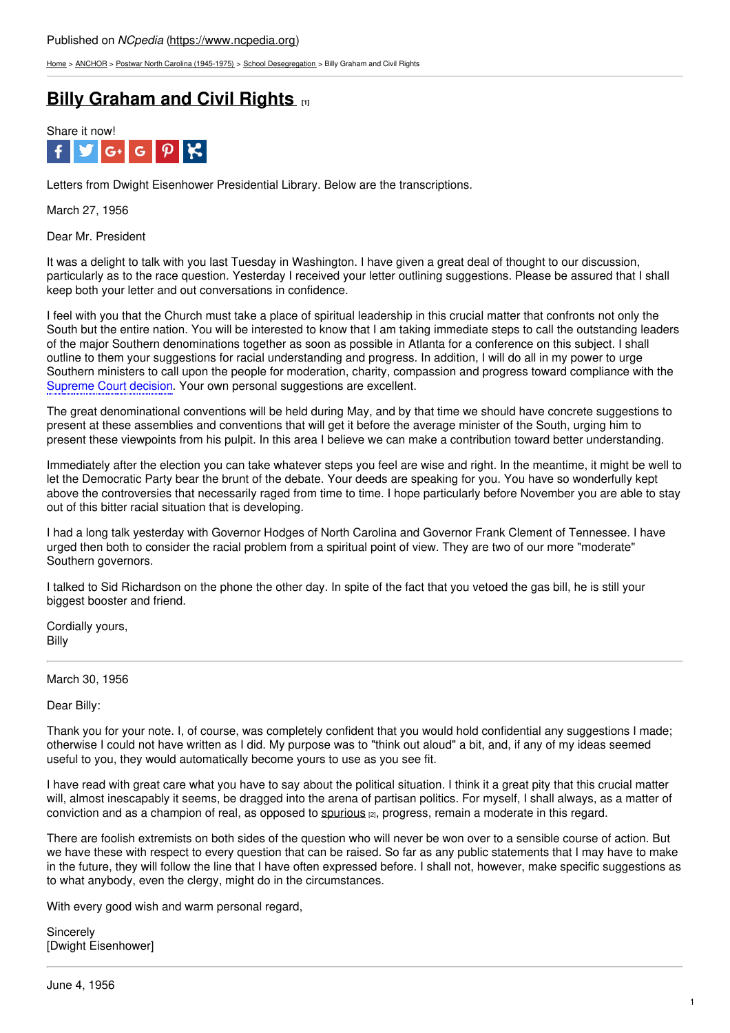[Home](https://www.ncpedia.org/) > [ANCHOR](https://www.ncpedia.org/anchor/anchor) > Postwar North Carolina [\(1945-1975\)](https://www.ncpedia.org/anchor/postwar-north-carolina-1945) > School [Desegregation](https://www.ncpedia.org/anchor/school-desegregation) > Billy Graham and Civil Rights

# **Billy [Graham](https://www.ncpedia.org/anchor/billy-graham-and-civil) and Civil Rights [1]**



Letters from Dwight Eisenhower Presidential Library. Below are the transcriptions.

March 27, 1956

Dear Mr. President

It was a delight to talk with you last Tuesday in Washington. I have given a great deal of thought to our discussion, particularly as to the race question. Yesterday I received your letter outlining suggestions. Please be assured that I shall keep both your letter and out conversations in confidence.

I feel with you that the Church must take a place of spiritual leadership in this crucial matter that confronts not only the South but the entire nation. You will be [interested](http://www.social9.com) to know that I am taking immediate steps to call the outstanding leaders of the major Southern denominations together as soon as possible in Atlanta for a conference on this subject. I shall outline to them your suggestions for racial understanding and progress. In addition, I will do all in my power to urge Southern ministers to call upon the people for moderation, charity, compassion and progress toward compliance with the Supreme Court decision. Your own personal suggestions are excellent.

The great denominational conventions will be held during May, and by that time we should have concrete suggestions to present at these assemblies and conventions that will get it before the average minister of the South, urging him to present these viewpoints from his pulpit. In this area I believe we can make a contribution toward better understanding.

Immediately after the election you can take whatever steps you feel are wise and right. In the meantime, it might be well to let the Democratic Party bear the brunt of the debate. Your deeds are speaking for you. You have so wonderfully kept above the controversies that necessarily raged from time to time. I hope particularly before November you are able to stay out of this bitter racial situation that is developing.

I had a long talk yesterday with Governor Hodges of North Carolina and Governor Frank Clement of Tennessee. I have urged then both to consider the racial problem from a spiritual point of view. They are two of our more "moderate" Southern governors.

I talked to Sid Richardson on the phone the other day. In spite of the fact that you vetoed the gas bill, he is still your biggest booster and friend.

Cordially yours, Billy

March 30, 1956

Dear Billy:

Thank you for your note. I, of course, was completely confident that you would hold confidential any suggestions I made; otherwise I could not have written as I did. My purpose was to "think out aloud" a bit, and, if any of my ideas seemed useful to you, they would automatically become yours to use as you see fit.

I have read with great care what you have to say about the political situation. I think it a great pity that this crucial matter will, almost inescapably it seems, be dragged into the arena of partisan politics. For myself, I shall always, as a matter of conviction and as a champion of real, as opposed to [spurious](https://www.ncpedia.org/glossary/spurious) [2], progress, remain a moderate in this regard.

There are foolish extremists on both sides of the question who will never be won over to a sensible course of action. But we have these with respect to every question that can be raised. So far as any public statements that I may have to make in the future, they will follow the line that I have often expressed before. I shall not, however, make specific suggestions as to what anybody, even the clergy, might do in the circumstances.

With every good wish and warm personal regard,

**Sincerely** [Dwight Eisenhower]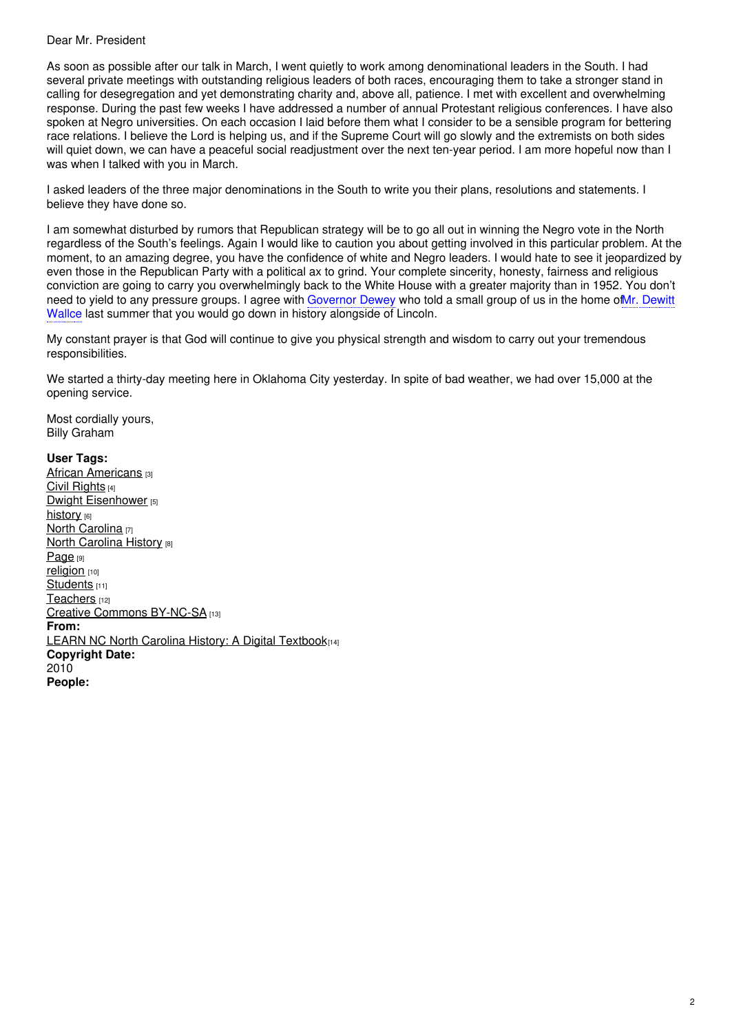### Dear Mr. President

As soon as possible after our talk in March, I went quietly to work among denominational leaders in the South. I had several private meetings with outstanding religious leaders of both races, encouraging them to take a stronger stand in calling for desegregation and yet demonstrating charity and, above all, patience. I met with excellent and overwhelming response. During the past few weeks I have addressed a number of annual Protestant religious conferences. I have also spoken at Negro universities. On each occasion I laid before them what I consider to be a sensible program for bettering race relations. I believe the Lord is helping us, and if the Supreme Court will go slowly and the extremists on both sides will quiet down, we can have a peaceful social readjustment over the next ten-year period. I am more hopeful now than I was when I talked with you in March.

I asked leaders of the three major denominations in the South to write you their plans, resolutions and statements. I believe they have done so.

I am somewhat disturbed by rumors that Republican strategy will be to go all out in winning the Negro vote in the North regardless of the South's feelings. Again I would like to caution you about getting involved in this particular problem. At the moment, to an amazing degree, you have the confidence of white and Negro leaders. I would hate to see it jeopardized by even those in the Republican Party with a political ax to grind. Your complete sincerity, honesty, fairness and religious conviction are going to carry you overwhelmingly back to the White House with a greater majority than in 1952. You don't need to yield to any pressure groups. I agree with Governor Dewey who told a small group of us in the home of Mr. Dewitt Wallce last summer that you would go down in history alongside of Lincoln.

My constant prayer is that God will continue to give you physical strength and wisdom to carry out your tremendous responsibilities.

We started a thirty-day meeting here in Oklahoma City yesterday. In spite of bad weather, we had over 15,000 at the opening service.

Most cordially yours, Billy Graham

### **User Tags:**

African **[Americans](https://www.ncpedia.org/category/user-tags/african-american)** [3] Civil [Rights](https://www.ncpedia.org/category/user-tags/civil-rights) [4] Dwight [Eisenhower](https://www.ncpedia.org/category/user-tags/dwight) [5] [history](https://www.ncpedia.org/category/user-tags/history) [6] North [Carolina](https://www.ncpedia.org/category/user-tags/north-carolina-5) [7] **North [Carolina](https://www.ncpedia.org/category/user-tags/north-carolina-6) History [8]** [Page](https://www.ncpedia.org/category/user-tags/page) [9] [religion](https://www.ncpedia.org/category/user-tags/religion) [10] [Students](https://www.ncpedia.org/category/user-tags/students) [11] [Teachers](https://www.ncpedia.org/category/user-tags/teachers) [12] Creative Commons [BY-NC-SA](https://www.ncpedia.org/category/user-tags/creative-commons) [13] **From:** LEARN NC North Carolina History: A Digital [Textbook](https://www.ncpedia.org/category/entry-source/learn-nc)[14] **Copyright Date:** 2010 **People:**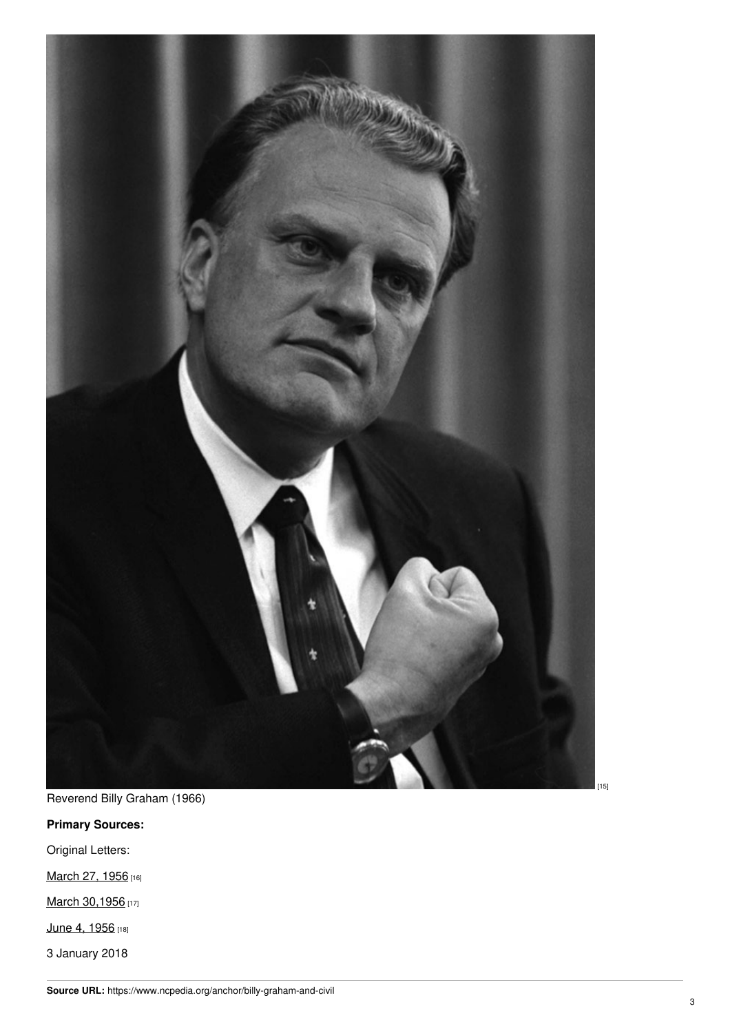

[ 1 5 ]

Reverend Billy Graham (1966)

## **Primary Sources:**

Original Letters:

[March](https://eisenhower.archives.gov/research/online_documents/civil_rights_eisenhower_administration/1956_03_27_Graham_to_DDE.pdf) 27, 1956 [16]

March [30,1956](https://eisenhower.archives.gov/research/online_documents/civil_rights_eisenhower_administration/1956_03_30_DDE_to_Graham.pdf) [17]

[June](https://eisenhower.archives.gov/research/online_documents/civil_rights_eisenhower_administration/1956_06_04_Graham_to_DDE.pdf) 4, 1956 [18]

3 January 2018